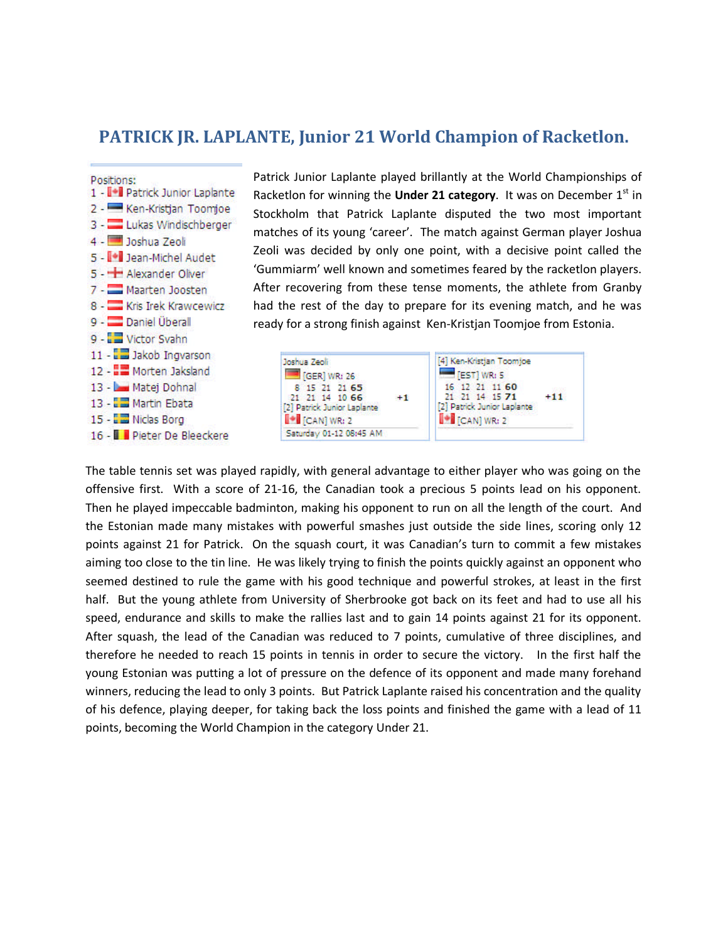## **PATRICK JR. LAPLANTE, Junior 21 World Champion of Racketlon.**



Patrick Junior Laplante played brillantly at the World Championships of Racketlon for winning the **Under 21 category**. It was on December 1<sup>st</sup> in Stockholm that Patrick Laplante disputed the two most important matches of its young 'career'. The match against German player Joshua Zeoli was decided by only one point, with a decisive point called the 'Gummiarm' well known and sometimes feared by the racketlon players. After recovering from these tense moments, the athlete from Granby had the rest of the day to prepare for its evening match, and he was ready for a strong finish against Ken-Kristjan Toomjoe from Estonia.



The table tennis set was played rapidly, with general advantage to either player who was going on the offensive first. With a score of 21-16, the Canadian took a precious 5 points lead on his opponent. Then he played impeccable badminton, making his opponent to run on all the length of the court. And the Estonian made many mistakes with powerful smashes just outside the side lines, scoring only 12 points against 21 for Patrick. On the squash court, it was Canadian's turn to commit a few mistakes aiming too close to the tin line. He was likely trying to finish the points quickly against an opponent who seemed destined to rule the game with his good technique and powerful strokes, at least in the first half. But the young athlete from University of Sherbrooke got back on its feet and had to use all his speed, endurance and skills to make the rallies last and to gain 14 points against 21 for its opponent. After squash, the lead of the Canadian was reduced to 7 points, cumulative of three disciplines, and therefore he needed to reach 15 points in tennis in order to secure the victory. In the first half the young Estonian was putting a lot of pressure on the defence of its opponent and made many forehand winners, reducing the lead to only 3 points. But Patrick Laplante raised his concentration and the quality of his defence, playing deeper, for taking back the loss points and finished the game with a lead of 11 points, becoming the World Champion in the category Under 21.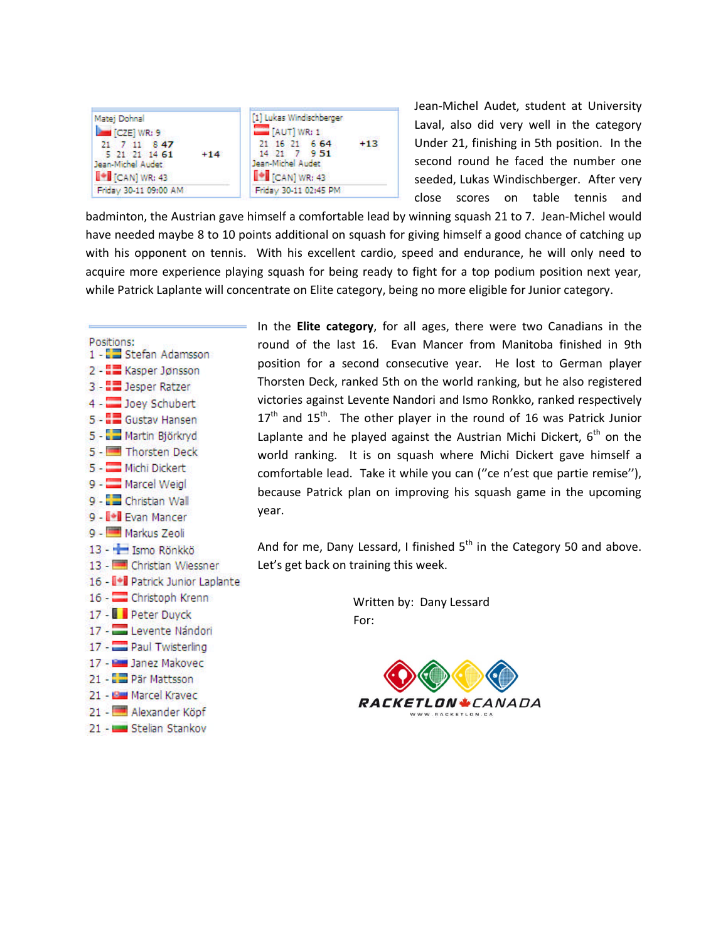

Jean-Michel Audet, student at University Laval, also did very well in the category Under 21, finishing in 5th position. In the second round he faced the number one seeded, Lukas Windischberger. After very close scores on table tennis and

badminton, the Austrian gave himself a comfortable lead by winning squash 21 to 7. Jean-Michel would have needed maybe 8 to 10 points additional on squash for giving himself a good chance of catching up with his opponent on tennis. With his excellent cardio, speed and endurance, he will only need to acquire more experience playing squash for being ready to fight for a top podium position next year, while Patrick Laplante will concentrate on Elite category, being no more eligible for Junior category.



In the **Elite category**, for all ages, there were two Canadians in the round of the last 16. Evan Mancer from Manitoba finished in 9th position for a second consecutive year. He lost to German player Thorsten Deck, ranked 5th on the world ranking, but he also registered victories against Levente Nandori and Ismo Ronkko, ranked respectively  $17<sup>th</sup>$  and  $15<sup>th</sup>$ . The other player in the round of 16 was Patrick Junior Laplante and he played against the Austrian Michi Dickert,  $6<sup>th</sup>$  on the world ranking. It is on squash where Michi Dickert gave himself a comfortable lead. Take it while you can (''ce n'est que partie remise''), because Patrick plan on improving his squash game in the upcoming year.

And for me, Dany Lessard, I finished  $5<sup>th</sup>$  in the Category 50 and above. Let's get back on training this week.

> Written by: Dany Lessard For: